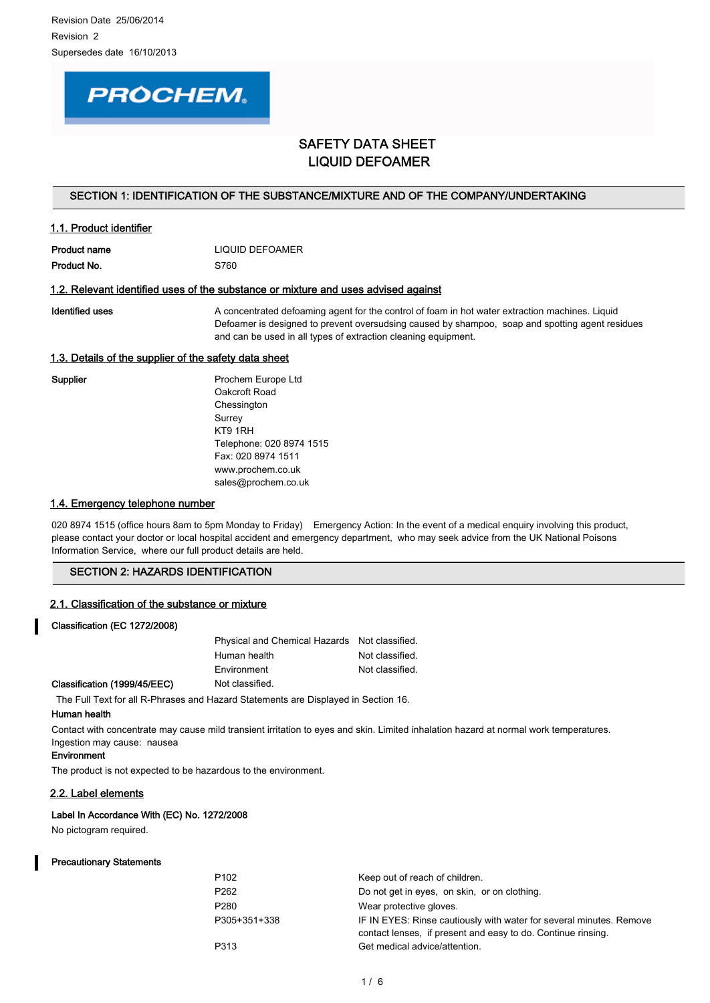# **PROCHEM.**

# SAFETY DATA SHEET LIQUID DEFOAMER

## SECTION 1: IDENTIFICATION OF THE SUBSTANCE/MIXTURE AND OF THE COMPANY/UNDERTAKING

## 1.1. Product identifier

| Product name | LIQUID DEFOAMER |
|--------------|-----------------|
| Product No.  | S760            |

## 1.2. Relevant identified uses of the substance or mixture and uses advised against

Identified uses **A** concentrated defoaming agent for the control of foam in hot water extraction machines. Liquid Defoamer is designed to prevent oversudsing caused by shampoo, soap and spotting agent residues and can be used in all types of extraction cleaning equipment.

## 1.3. Details of the supplier of the safety data sheet

Supplier **Prochem Europe Ltd** Oakcroft Road Chessington Surrey KT9 1RH Telephone: 020 8974 1515 Fax: 020 8974 1511 www.prochem.co.uk sales@prochem.co.uk

## 1.4. Emergency telephone number

020 8974 1515 (office hours 8am to 5pm Monday to Friday) Emergency Action: In the event of a medical enguiry involving this product, please contact your doctor or local hospital accident and emergency department, who may seek advice from the UK National Poisons Information Service, where our full product details are held.

## SECTION 2: HAZARDS IDENTIFICATION

#### 2.1. Classification of the substance or mixture

## Classification (EC 1272/2008)

Classification (1999/45/EEC)

| Physical and Chemical Hazards Not classified. |                 |
|-----------------------------------------------|-----------------|
| Human health                                  | Not classified. |
| Environment                                   | Not classified. |
| Not classified                                |                 |

The Full Text for all R-Phrases and Hazard Statements are Displayed in Section 16.

#### Human health

Contact with concentrate may cause mild transient irritation to eyes and skin. Limited inhalation hazard at normal work temperatures. Ingestion may cause: nausea

## **Environment**

The product is not expected to be hazardous to the environment.

## 2.2. Label elements

#### Label In Accordance With (EC) No. 1272/2008

No pictogram required.

#### Precautionary Statements

| P102         | Keep out of reach of children.                                                                                                      |
|--------------|-------------------------------------------------------------------------------------------------------------------------------------|
| P262         | Do not get in eyes, on skin, or on clothing.                                                                                        |
| P280         | Wear protective gloves.                                                                                                             |
| P305+351+338 | IF IN EYES: Rinse cautiously with water for several minutes. Remove<br>contact lenses, if present and easy to do. Continue rinsing. |
| P313         | Get medical advice/attention.                                                                                                       |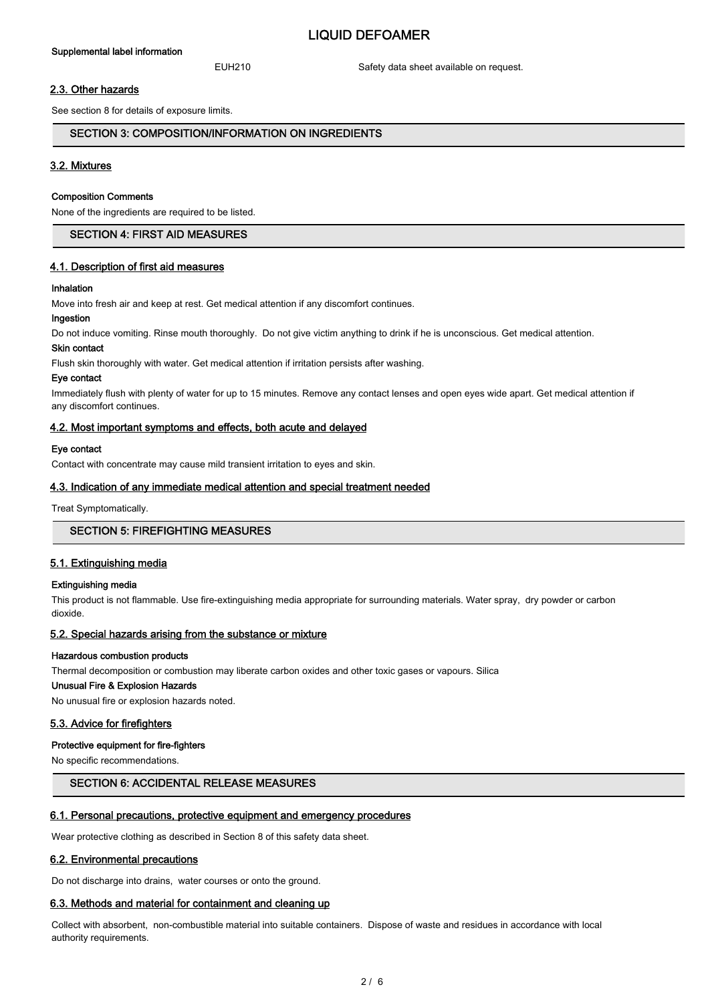# LIQUID DEFOAMER

EUH210 Safety data sheet available on request.

## 2.3. Other hazards

See section 8 for details of exposure limits.

## SECTION 3: COMPOSITION/INFORMATION ON INGREDIENTS

## 3.2. Mixtures

#### Composition Comments

None of the ingredients are required to be listed.

## SECTION 4: FIRST AID MEASURES

#### 4.1. Description of first aid measures

#### Inhalation

Move into fresh air and keep at rest. Get medical attention if any discomfort continues.

#### Ingestion

Do not induce vomiting. Rinse mouth thoroughly. Do not give victim anything to drink if he is unconscious. Get medical attention.

#### Skin contact

Flush skin thoroughly with water. Get medical attention if irritation persists after washing.

#### Eye contact

Immediately flush with plenty of water for up to 15 minutes. Remove any contact lenses and open eyes wide apart. Get medical attention if any discomfort continues.

#### 4.2. Most important symptoms and effects, both acute and delayed

#### Eye contact

Contact with concentrate may cause mild transient irritation to eyes and skin.

#### 4.3. Indication of any immediate medical attention and special treatment needed

Treat Symptomatically.

## SECTION 5: FIREFIGHTING MEASURES

#### 5.1. Extinguishing media

#### Extinguishing media

This product is not flammable. Use fire-extinguishing media appropriate for surrounding materials. Water spray, dry powder or carbon dioxide.

#### 5.2. Special hazards arising from the substance or mixture

#### Hazardous combustion products

Thermal decomposition or combustion may liberate carbon oxides and other toxic gases or vapours. Silica

#### Unusual Fire & Explosion Hazards

No unusual fire or explosion hazards noted.

#### 5.3. Advice for firefighters

#### Protective equipment for fire-fighters

No specific recommendations.

## SECTION 6: ACCIDENTAL RELEASE MEASURES

#### 6.1. Personal precautions, protective equipment and emergency procedures

Wear protective clothing as described in Section 8 of this safety data sheet.

#### 6.2. Environmental precautions

Do not discharge into drains, water courses or onto the ground.

## 6.3. Methods and material for containment and cleaning up

Collect with absorbent, non-combustible material into suitable containers. Dispose of waste and residues in accordance with local authority requirements.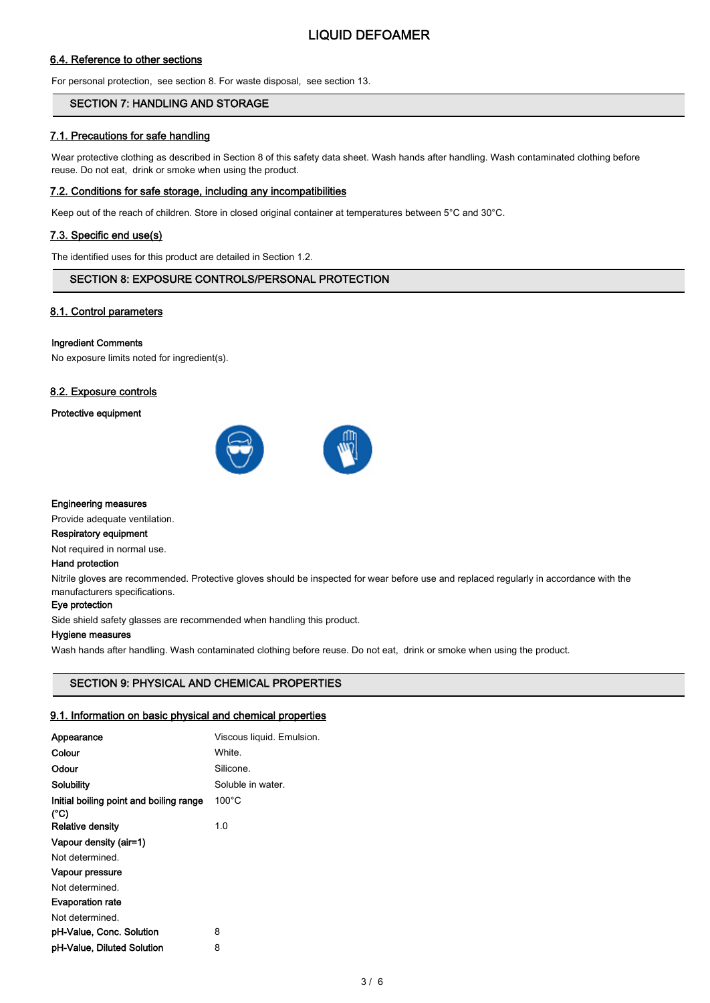## 6.4. Reference to other sections

For personal protection, see section 8. For waste disposal, see section 13.

## SECTION 7: HANDLING AND STORAGE

## 7.1. Precautions for safe handling

Wear protective clothing as described in Section 8 of this safety data sheet. Wash hands after handling. Wash contaminated clothing before reuse. Do not eat, drink or smoke when using the product.

## 7.2. Conditions for safe storage, including any incompatibilities

Keep out of the reach of children. Store in closed original container at temperatures between 5°C and 30°C.

## 7.3. Specific end use(s)

The identified uses for this product are detailed in Section 1.2.

## SECTION 8: EXPOSURE CONTROLS/PERSONAL PROTECTION

## 8.1. Control parameters

#### Ingredient Comments

No exposure limits noted for ingredient(s).

## 8.2. Exposure controls

Protective equipment



## Engineering measures

Provide adequate ventilation.

## Respiratory equipment

Not required in normal use.

#### Hand protection

Nitrile gloves are recommended. Protective gloves should be inspected for wear before use and replaced regularly in accordance with the manufacturers specifications.

#### Eye protection

Side shield safety glasses are recommended when handling this product.

#### Hygiene measures

Wash hands after handling. Wash contaminated clothing before reuse. Do not eat, drink or smoke when using the product.

## SECTION 9: PHYSICAL AND CHEMICAL PROPERTIES

## 9.1. Information on basic physical and chemical properties

| Appearance                                      | Viscous liquid. Emulsion. |
|-------------------------------------------------|---------------------------|
| Colour                                          | White.                    |
| Odour                                           | Silicone.                 |
| Solubility                                      | Soluble in water.         |
| Initial boiling point and boiling range<br>(°C) | $100^{\circ}$ C           |
| <b>Relative density</b>                         | 1.0                       |
| Vapour density (air=1)                          |                           |
| Not determined.                                 |                           |
| Vapour pressure                                 |                           |
| Not determined.                                 |                           |
| <b>Evaporation rate</b>                         |                           |
| Not determined.                                 |                           |
| pH-Value, Conc. Solution                        | 8                         |
| pH-Value, Diluted Solution                      | 8                         |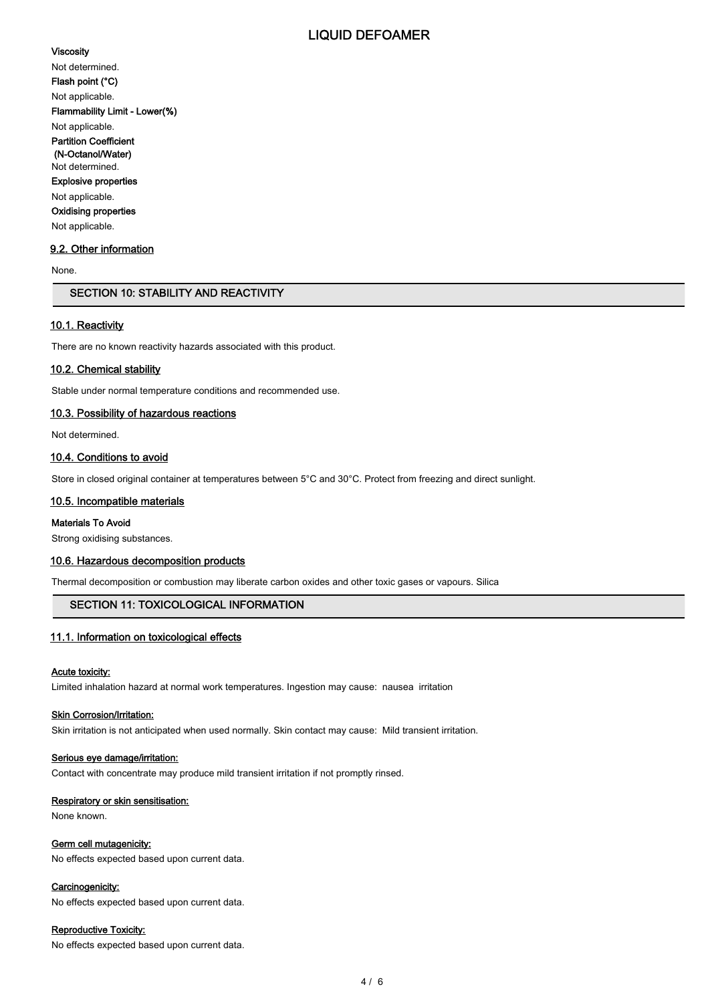## LIQUID DEFOAMER

#### Viscosity

Not determined. Flash point (°C) Not applicable. Flammability Limit - Lower(%) Not applicable. Partition Coefficient (N-Octanol/Water) Not determined. Explosive properties Not applicable. Oxidising properties Not applicable.

# 9.2. Other information

None.

## SECTION 10: STABILITY AND REACTIVITY

#### 10.1. Reactivity

There are no known reactivity hazards associated with this product.

#### 10.2. Chemical stability

Stable under normal temperature conditions and recommended use.

#### 10.3. Possibility of hazardous reactions

Not determined.

## 10.4. Conditions to avoid

Store in closed original container at temperatures between 5°C and 30°C. Protect from freezing and direct sunlight.

#### 10.5. Incompatible materials

## Materials To Avoid

Strong oxidising substances.

#### 10.6. Hazardous decomposition products

Thermal decomposition or combustion may liberate carbon oxides and other toxic gases or vapours. Silica

## SECTION 11: TOXICOLOGICAL INFORMATION

## 11.1. Information on toxicological effects

#### Acute toxicity:

Limited inhalation hazard at normal work temperatures. Ingestion may cause: nausea irritation

#### **Skin Corrosion/Irritation:**

Skin irritation is not anticipated when used normally. Skin contact may cause: Mild transient irritation.

#### Serious eye damage/irritation:

Contact with concentrate may produce mild transient irritation if not promptly rinsed.

#### Respiratory or skin sensitisation:

None known.

## Germ cell mutagenicity:

No effects expected based upon current data.

#### Carcinogenicity:

No effects expected based upon current data.

#### Reproductive Toxicity:

No effects expected based upon current data.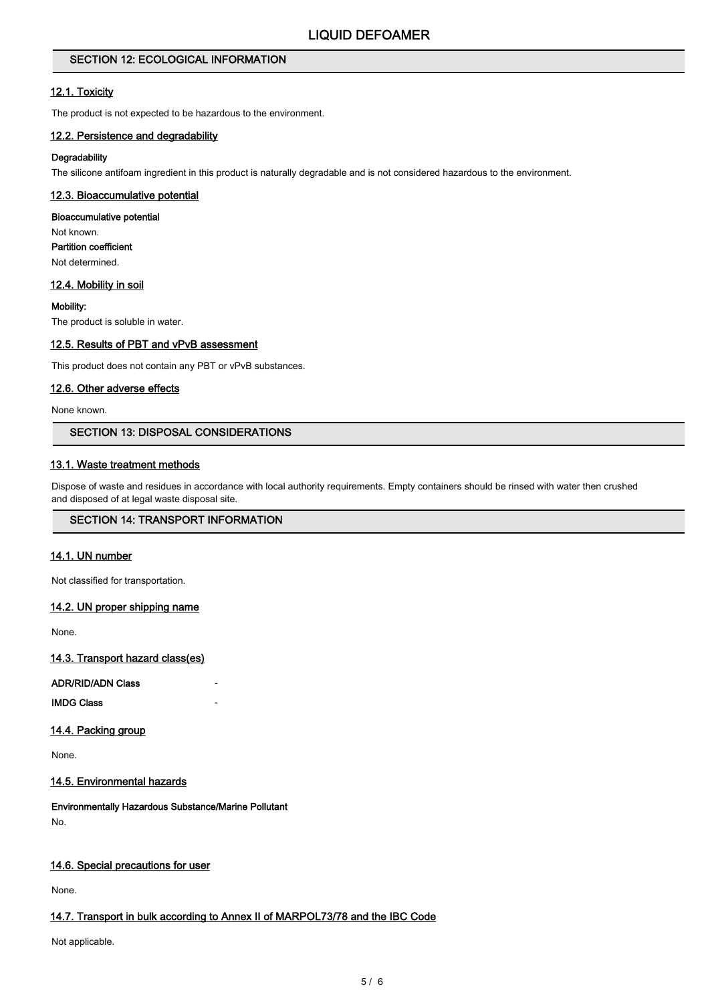## SECTION 12: ECOLOGICAL INFORMATION

## 12.1. Toxicity

The product is not expected to be hazardous to the environment.

## 12.2. Persistence and degradability

## **Degradability**

The silicone antifoam ingredient in this product is naturally degradable and is not considered hazardous to the environment.

## 12.3. Bioaccumulative potential

#### Bioaccumulative potential

Not known. Partition coefficient Not determined.

## 12.4. Mobility in soil

Mobility:

The product is soluble in water.

## 12.5. Results of PBT and vPvB assessment

This product does not contain any PBT or vPvB substances.

#### 12.6. Other adverse effects

None known.

## SECTION 13: DISPOSAL CONSIDERATIONS

## 13.1. Waste treatment methods

Dispose of waste and residues in accordance with local authority requirements. Empty containers should be rinsed with water then crushed and disposed of at legal waste disposal site.

## SECTION 14: TRANSPORT INFORMATION

## 14.1. UN number

Not classified for transportation.

#### 14.2. UN proper shipping name

None.

14.3. Transport hazard class(es)

ADR/RID/ADN Class -

**IMDG Class** 

## 14.4. Packing group

None.

## 14.5. Environmental hazards

Environmentally Hazardous Substance/Marine Pollutant No.

## 14.6. Special precautions for user

None.

## 14.7. Transport in bulk according to Annex II of MARPOL73/78 and the IBC Code

Not applicable.